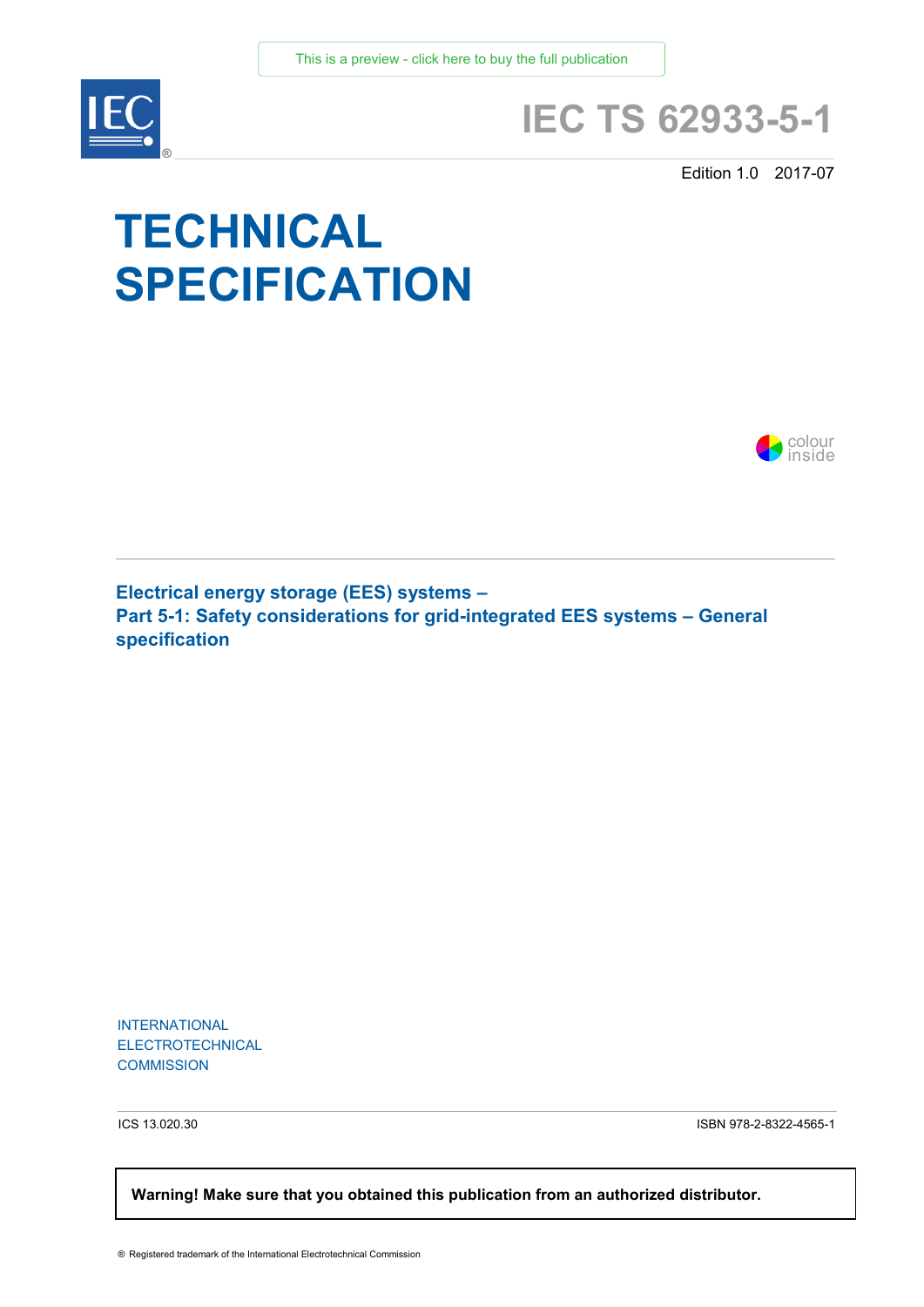

## **IEC TS 62933-5-1**

Edition 1.0 2017-07

# **TECHNICAL SPECIFICATION**



**Electrical energy storage (EES) systems – Part 5-1: Safety considerations for grid-integrated EES systems – General specification**

INTERNATIONAL ELECTROTECHNICAL **COMMISSION** 

ICS 13.020.30 ISBN 978-2-8322-4565-1

 **Warning! Make sure that you obtained this publication from an authorized distributor.**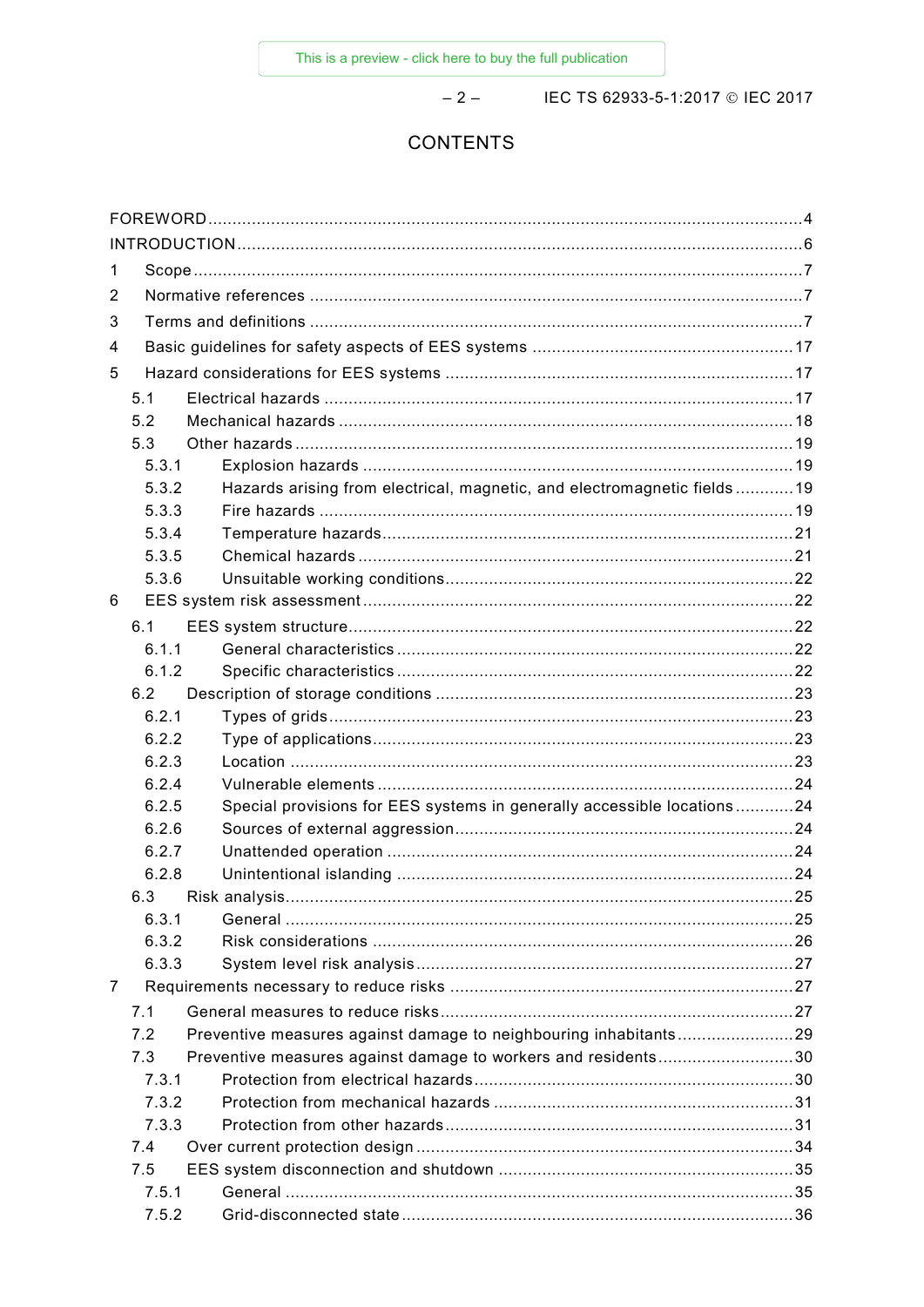$-2-$ 

IEC TS 62933-5-1:2017 © IEC 2017

### **CONTENTS**

| 1              |       |                                                                         |  |  |  |
|----------------|-------|-------------------------------------------------------------------------|--|--|--|
| 2              |       |                                                                         |  |  |  |
| 3              |       |                                                                         |  |  |  |
| 4              |       |                                                                         |  |  |  |
| 5              |       |                                                                         |  |  |  |
|                | 5.1   |                                                                         |  |  |  |
|                | 5.2   |                                                                         |  |  |  |
|                | 5.3   |                                                                         |  |  |  |
|                | 5.3.1 |                                                                         |  |  |  |
|                | 5.3.2 | Hazards arising from electrical, magnetic, and electromagnetic fields19 |  |  |  |
|                | 5.3.3 |                                                                         |  |  |  |
|                | 5.3.4 |                                                                         |  |  |  |
|                | 5.3.5 |                                                                         |  |  |  |
|                | 5.3.6 |                                                                         |  |  |  |
| 6              |       |                                                                         |  |  |  |
|                | 6.1   |                                                                         |  |  |  |
|                | 6.1.1 |                                                                         |  |  |  |
|                | 6.1.2 |                                                                         |  |  |  |
|                | 6.2   |                                                                         |  |  |  |
|                | 6.2.1 |                                                                         |  |  |  |
|                | 6.2.2 |                                                                         |  |  |  |
|                | 6.2.3 |                                                                         |  |  |  |
|                | 6.2.4 |                                                                         |  |  |  |
|                | 6.2.5 | Special provisions for EES systems in generally accessible locations24  |  |  |  |
|                | 6.2.6 |                                                                         |  |  |  |
|                | 6.2.7 |                                                                         |  |  |  |
|                | 6.2.8 |                                                                         |  |  |  |
|                | 6.3   |                                                                         |  |  |  |
|                | 6.3.1 |                                                                         |  |  |  |
|                | 6.3.2 |                                                                         |  |  |  |
|                | 6.3.3 |                                                                         |  |  |  |
| $\overline{7}$ |       |                                                                         |  |  |  |
|                | 7.1   |                                                                         |  |  |  |
|                | 7.2   | Preventive measures against damage to neighbouring inhabitants29        |  |  |  |
|                | 7.3   | Preventive measures against damage to workers and residents30           |  |  |  |
|                | 7.3.1 |                                                                         |  |  |  |
|                | 7.3.2 |                                                                         |  |  |  |
|                | 7.3.3 |                                                                         |  |  |  |
|                | 7.4   |                                                                         |  |  |  |
|                | 7.5   |                                                                         |  |  |  |
|                | 7.5.1 |                                                                         |  |  |  |
|                | 7.5.2 |                                                                         |  |  |  |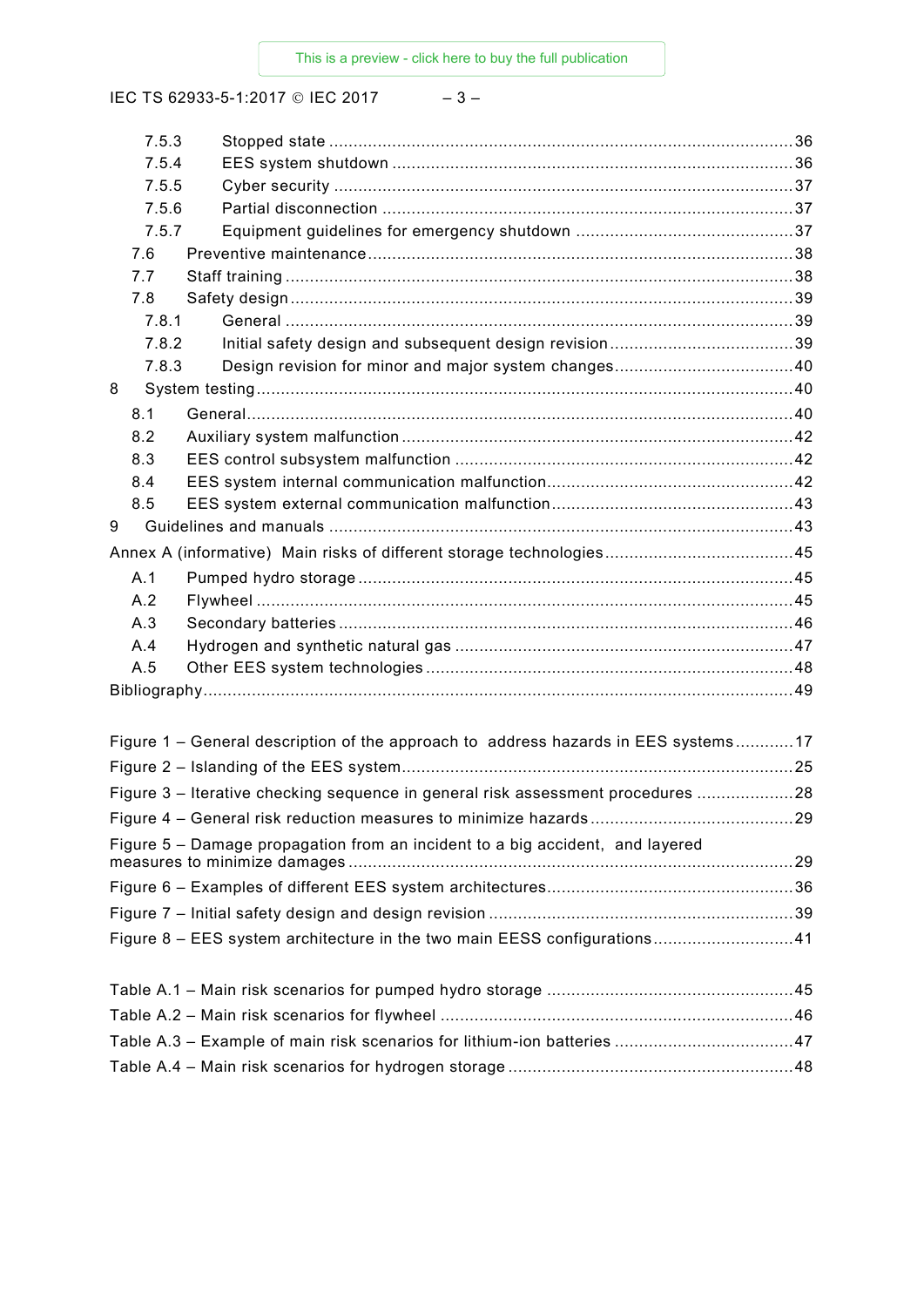IEC TS 62933-5-1:2017 © IEC 2017 - 3-

| 7.5.3 |                                                                                    |  |  |  |  |
|-------|------------------------------------------------------------------------------------|--|--|--|--|
| 7.5.4 |                                                                                    |  |  |  |  |
| 7.5.5 |                                                                                    |  |  |  |  |
| 7.5.6 |                                                                                    |  |  |  |  |
| 7.5.7 |                                                                                    |  |  |  |  |
| 7.6   |                                                                                    |  |  |  |  |
| 7.7   |                                                                                    |  |  |  |  |
| 7.8   |                                                                                    |  |  |  |  |
| 7.8.1 |                                                                                    |  |  |  |  |
| 7.8.2 |                                                                                    |  |  |  |  |
| 7.8.3 |                                                                                    |  |  |  |  |
| 8     |                                                                                    |  |  |  |  |
| 8.1   |                                                                                    |  |  |  |  |
| 8.2   |                                                                                    |  |  |  |  |
| 8.3   |                                                                                    |  |  |  |  |
| 8.4   |                                                                                    |  |  |  |  |
| 8.5   |                                                                                    |  |  |  |  |
| 9     |                                                                                    |  |  |  |  |
|       |                                                                                    |  |  |  |  |
| A.1   |                                                                                    |  |  |  |  |
| A.2   |                                                                                    |  |  |  |  |
| A.3   |                                                                                    |  |  |  |  |
| A.4   |                                                                                    |  |  |  |  |
| A.5   |                                                                                    |  |  |  |  |
|       |                                                                                    |  |  |  |  |
|       |                                                                                    |  |  |  |  |
|       | Figure 1 - General description of the approach to address hazards in EES systems17 |  |  |  |  |
|       |                                                                                    |  |  |  |  |
|       | Figure 3 - Iterative checking sequence in general risk assessment procedures 28    |  |  |  |  |
|       |                                                                                    |  |  |  |  |
|       | Figure 5 - Damage propagation from an incident to a big accident, and layered      |  |  |  |  |
|       |                                                                                    |  |  |  |  |
|       |                                                                                    |  |  |  |  |
|       |                                                                                    |  |  |  |  |
|       |                                                                                    |  |  |  |  |
|       | Figure 8 - EES system architecture in the two main EESS configurations41           |  |  |  |  |
|       |                                                                                    |  |  |  |  |
|       |                                                                                    |  |  |  |  |
|       |                                                                                    |  |  |  |  |
|       |                                                                                    |  |  |  |  |
|       |                                                                                    |  |  |  |  |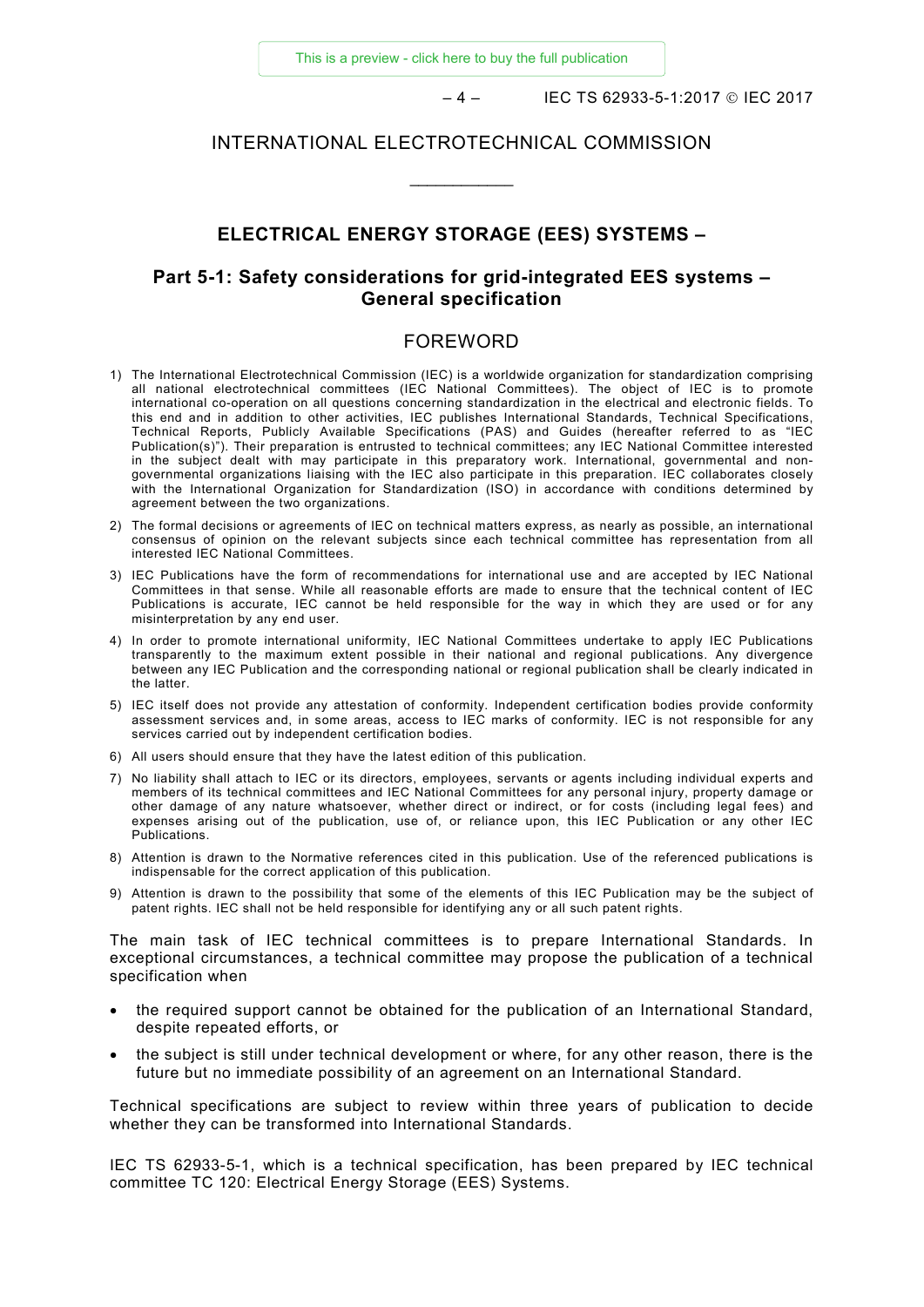$-4 -$  IEC TS 62933-5-1:2017 © IEC 2017

#### INTERNATIONAL ELECTROTECHNICAL COMMISSION

\_\_\_\_\_\_\_\_\_\_\_\_

#### **ELECTRICAL ENERGY STORAGE (EES) SYSTEMS –**

#### **Part 5-1: Safety considerations for grid-integrated EES systems – General specification**

#### FOREWORD

- <span id="page-3-0"></span>1) The International Electrotechnical Commission (IEC) is a worldwide organization for standardization comprising all national electrotechnical committees (IEC National Committees). The object of IEC is to promote international co-operation on all questions concerning standardization in the electrical and electronic fields. To this end and in addition to other activities, IEC publishes International Standards, Technical Specifications, Technical Reports, Publicly Available Specifications (PAS) and Guides (hereafter referred to as "IEC Publication(s)"). Their preparation is entrusted to technical committees; any IEC National Committee interested in the subject dealt with may participate in this preparatory work. International, governmental and nongovernmental organizations liaising with the IEC also participate in this preparation. IEC collaborates closely with the International Organization for Standardization (ISO) in accordance with conditions determined by agreement between the two organizations.
- 2) The formal decisions or agreements of IEC on technical matters express, as nearly as possible, an international consensus of opinion on the relevant subjects since each technical committee has representation from all interested IEC National Committees.
- 3) IEC Publications have the form of recommendations for international use and are accepted by IEC National Committees in that sense. While all reasonable efforts are made to ensure that the technical content of IEC Publications is accurate, IEC cannot be held responsible for the way in which they are used or for any misinterpretation by any end user.
- 4) In order to promote international uniformity, IEC National Committees undertake to apply IEC Publications transparently to the maximum extent possible in their national and regional publications. Any divergence between any IEC Publication and the corresponding national or regional publication shall be clearly indicated in the latter.
- 5) IEC itself does not provide any attestation of conformity. Independent certification bodies provide conformity assessment services and, in some areas, access to IEC marks of conformity. IEC is not responsible for any services carried out by independent certification bodies.
- 6) All users should ensure that they have the latest edition of this publication.
- 7) No liability shall attach to IEC or its directors, employees, servants or agents including individual experts and members of its technical committees and IEC National Committees for any personal injury, property damage or other damage of any nature whatsoever, whether direct or indirect, or for costs (including legal fees) and expenses arising out of the publication, use of, or reliance upon, this IEC Publication or any other IEC Publications.
- 8) Attention is drawn to the Normative references cited in this publication. Use of the referenced publications is indispensable for the correct application of this publication.
- 9) Attention is drawn to the possibility that some of the elements of this IEC Publication may be the subject of patent rights. IEC shall not be held responsible for identifying any or all such patent rights.

The main task of IEC technical committees is to prepare International Standards. In exceptional circumstances, a technical committee may propose the publication of a technical specification when

- the required support cannot be obtained for the publication of an International Standard, despite repeated efforts, or
- the subject is still under technical development or where, for any other reason, there is the future but no immediate possibility of an agreement on an International Standard.

Technical specifications are subject to review within three years of publication to decide whether they can be transformed into International Standards.

IEC TS 62933-5-1, which is a technical specification, has been prepared by IEC technical committee TC 120: Electrical Energy Storage (EES) Systems.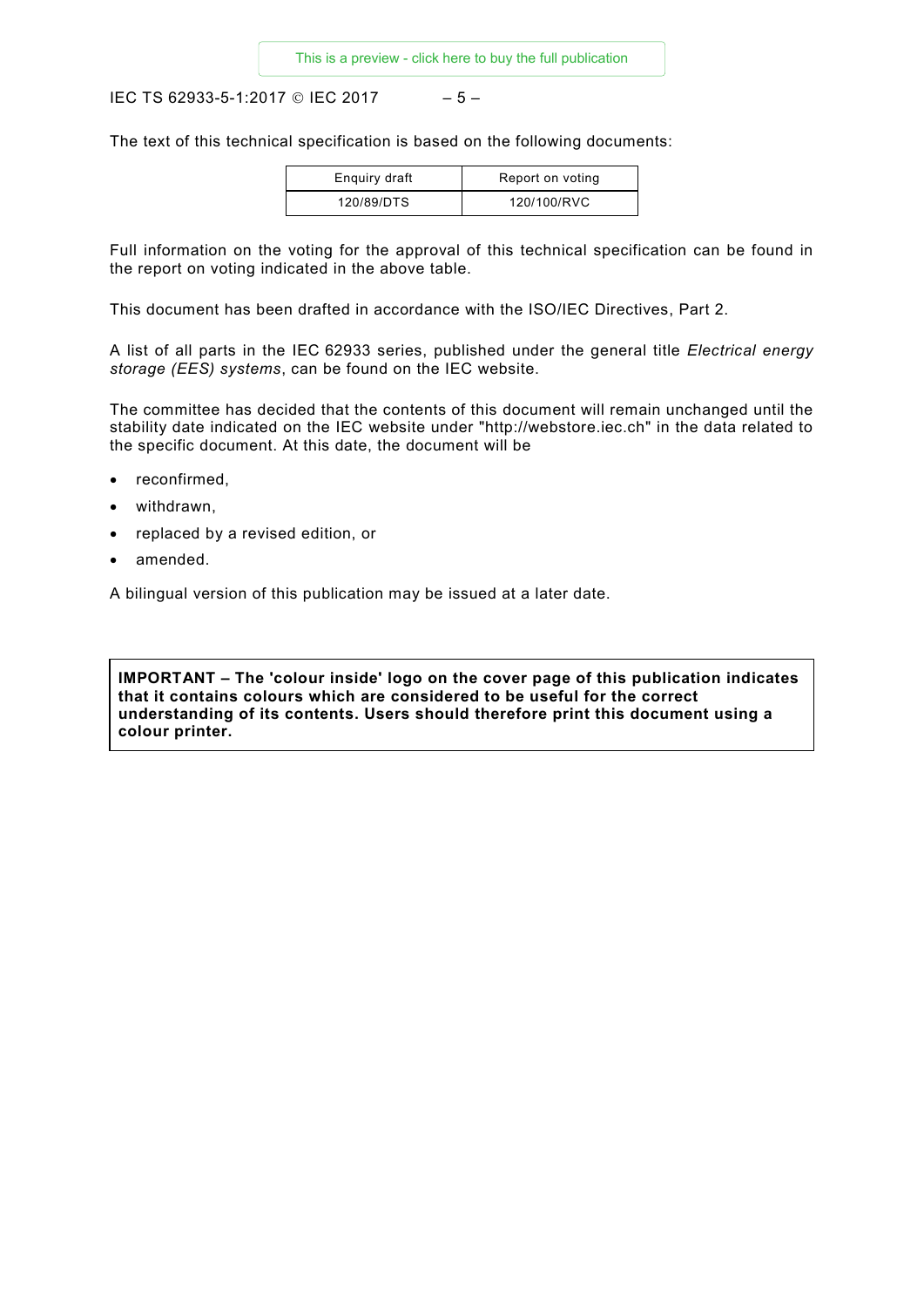IEC TS 62933-5-1:2017 © IEC 2017 – 5 –

The text of this technical specification is based on the following documents:

| Enquiry draft | Report on voting |
|---------------|------------------|
| 120/89/DTS    | 120/100/RVC      |

Full information on the voting for the approval of this technical specification can be found in the report on voting indicated in the above table.

This document has been drafted in accordance with the ISO/IEC Directives, Part 2.

A list of all parts in the IEC 62933 series, published under the general title *Electrical energy storage (EES) systems*, can be found on the IEC website.

The committee has decided that the contents of this document will remain unchanged until the stability date indicated on the IEC website under "http://webstore.iec.ch" in the data related to the specific document. At this date, the document will be

- reconfirmed,
- withdrawn,
- replaced by a revised edition, or
- amended.

A bilingual version of this publication may be issued at a later date.

**IMPORTANT – The 'colour inside' logo on the cover page of this publication indicates that it contains colours which are considered to be useful for the correct understanding of its contents. Users should therefore print this document using a colour printer.**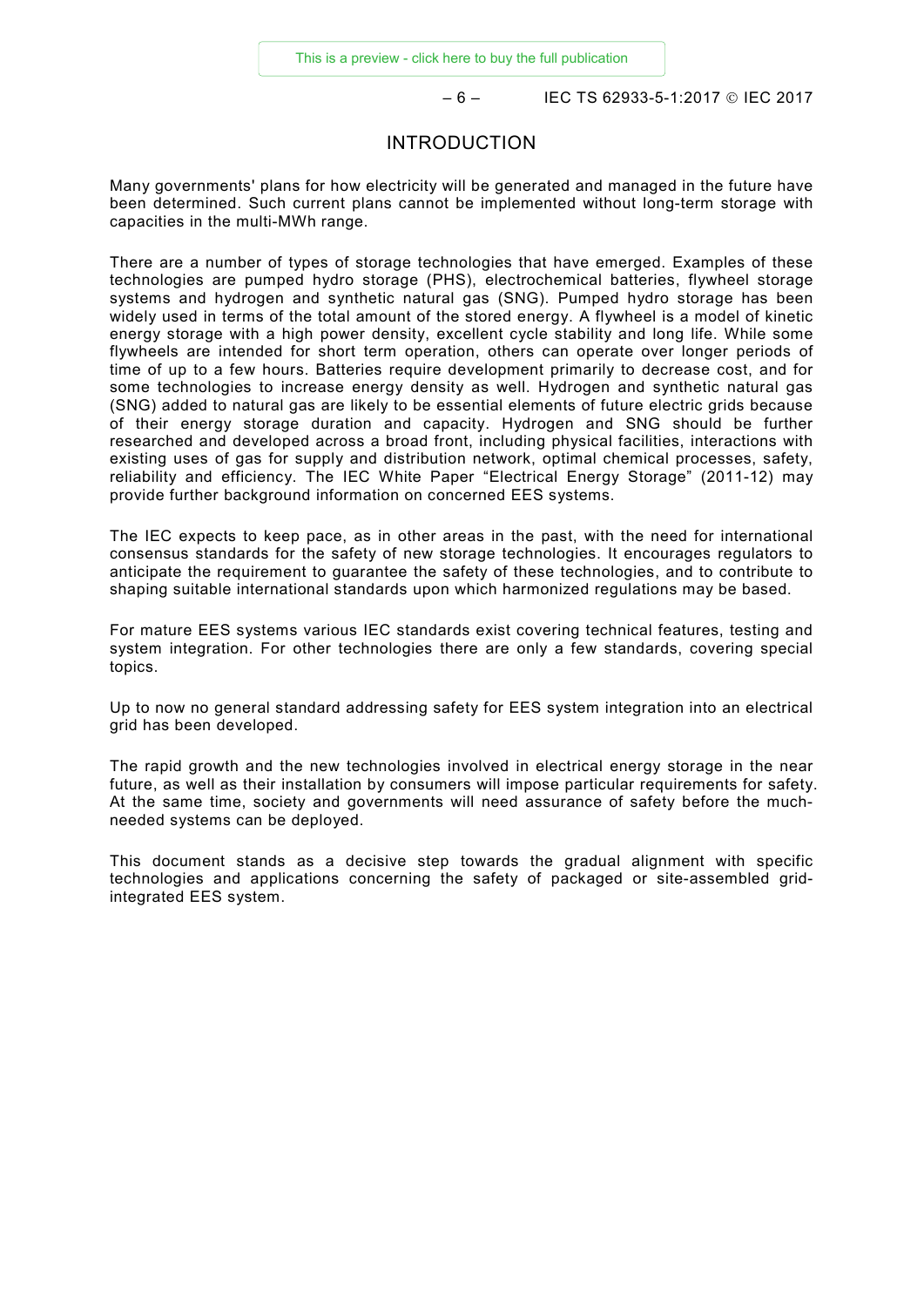$-6 -$  IEC TS 62933-5-1:2017 © IEC 2017

#### INTRODUCTION

<span id="page-5-0"></span>Many governments' plans for how electricity will be generated and managed in the future have been determined. Such current plans cannot be implemented without long-term storage with capacities in the multi-MWh range.

There are a number of types of storage technologies that have emerged. Examples of these technologies are pumped hydro storage (PHS), electrochemical batteries, flywheel storage systems and hydrogen and synthetic natural gas (SNG). Pumped hydro storage has been widely used in terms of the total amount of the stored energy. A flywheel is a model of kinetic energy storage with a high power density, excellent cycle stability and long life. While some flywheels are intended for short term operation, others can operate over longer periods of time of up to a few hours. Batteries require development primarily to decrease cost, and for some technologies to increase energy density as well. Hydrogen and synthetic natural gas (SNG) added to natural gas are likely to be essential elements of future electric grids because of their energy storage duration and capacity. Hydrogen and SNG should be further researched and developed across a broad front, including physical facilities, interactions with existing uses of gas for supply and distribution network, optimal chemical processes, safety, reliability and efficiency. The IEC White Paper "Electrical Energy Storage" (2011-12) may provide further background information on concerned EES systems.

The IEC expects to keep pace, as in other areas in the past, with the need for international consensus standards for the safety of new storage technologies. It encourages regulators to anticipate the requirement to guarantee the safety of these technologies, and to contribute to shaping suitable international standards upon which harmonized regulations may be based.

For mature EES systems various IEC standards exist covering technical features, testing and system integration. For other technologies there are only a few standards, covering special topics.

Up to now no general standard addressing safety for EES system integration into an electrical grid has been developed.

The rapid growth and the new technologies involved in electrical energy storage in the near future, as well as their installation by consumers will impose particular requirements for safety. At the same time, society and governments will need assurance of safety before the muchneeded systems can be deployed.

This document stands as a decisive step towards the gradual alignment with specific technologies and applications concerning the safety of packaged or site-assembled gridintegrated EES system.